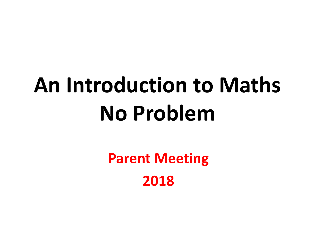# **An Introduction to Maths No Problem**

**Parent Meeting 2018**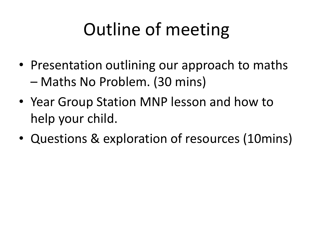## Outline of meeting

- Presentation outlining our approach to maths – Maths No Problem. (30 mins)
- Year Group Station MNP lesson and how to help your child.
- Questions & exploration of resources (10mins)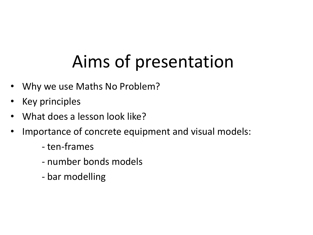## Aims of presentation

- Why we use Maths No Problem?
- Key principles
- What does a lesson look like?
- Importance of concrete equipment and visual models:
	- ten-frames
	- number bonds models
	- bar modelling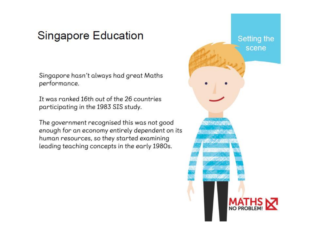### **Singapore Education**

Singapore hasn't always had great Maths performance.

It was ranked 16th out of the 26 countries participating in the 1983 SIS study.

The government recognised this was not good enough for an economy entirely dependent on its human resources, so they started examining leading teaching concepts in the early 1980s.

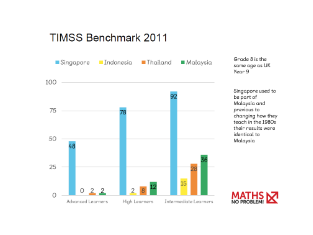### **TIMSS Benchmark 2011**



Grade 8 is the same age as UK Year<sub>9</sub>

Singapore used to be part of Malaysia and previous to changing how they teach in the 1980s their results were identical to **Malaysia** 

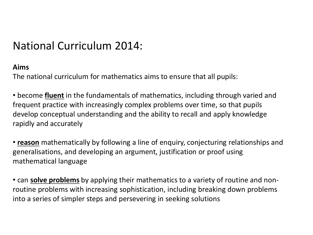### National Curriculum 2014:

#### **Aims**

The national curriculum for mathematics aims to ensure that all pupils:

• become **fluent** in the fundamentals of mathematics, including through varied and frequent practice with increasingly complex problems over time, so that pupils develop conceptual understanding and the ability to recall and apply knowledge rapidly and accurately

• **reason** mathematically by following a line of enquiry, conjecturing relationships and generalisations, and developing an argument, justification or proof using mathematical language

• can **solve problems** by applying their mathematics to a variety of routine and nonroutine problems with increasing sophistication, including breaking down problems into a series of simpler steps and persevering in seeking solutions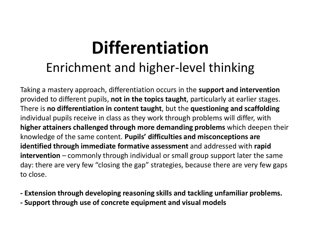## **Differentiation** Enrichment and higher-level thinking

Taking a mastery approach, differentiation occurs in the **support and intervention**  provided to different pupils, **not in the topics taught**, particularly at earlier stages. There is **no differentiation in content taught**, but the **questioning and scaffolding**  individual pupils receive in class as they work through problems will differ, with **higher attainers challenged through more demanding problems** which deepen their knowledge of the same content. **Pupils' difficulties and misconceptions are identified through immediate formative assessment** and addressed with **rapid intervention** – commonly through individual or small group support later the same day: there are very few "closing the gap" strategies, because there are very few gaps to close.

- **- Extension through developing reasoning skills and tackling unfamiliar problems.**
- **- Support through use of concrete equipment and visual models**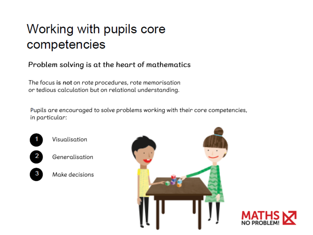### Working with pupils core competencies

#### Problem solving is at the heart of mathematics

The focus is not on rote procedures, rote memorisation or tedious calculation but on relational understanding.

Pupils are encouraged to solve problems working with their core competencies, in particular:





- Generalisation
- Make decisions



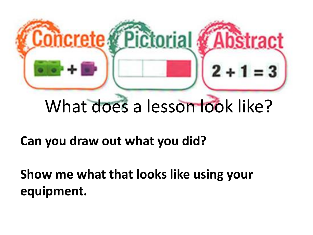

## What does a lesson look like?

**Can you draw out what you did?**

**Show me what that looks like using your equipment.**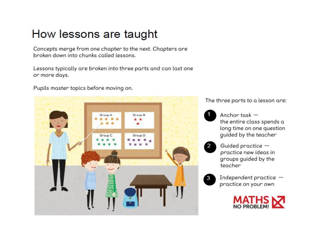### How lessons are taught

Concepts merge from one chapter to the next. Chapters are broken down into chunks called lessons.

Lessons typically are broken into three parts and can last one or more days.

Pupils master topics before moving on.



The three parts to a lesson are:



Anchor task  $$ the entire class spends a long time on one question guided by the teacher



Guided practice practice new ideas in groups guided by the teacher



Independent practice  $$ practice on your own

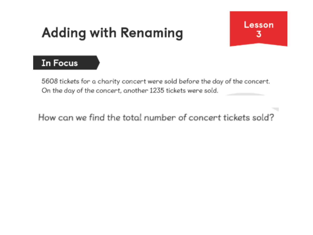## **Adding with Renaming**



#### In Focus

5608 tickets for a charity concert were sold before the day of the concert. On the day of the concert, another 1235 tickets were sold.

How can we find the total number of concert tickets sold?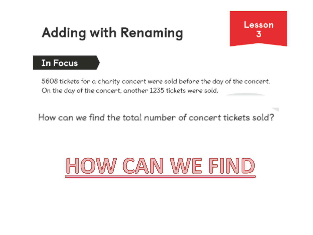## **Adding with Renaming**



#### In Focus

5608 tickets for a charity concert were sold before the day of the concert. On the day of the concert, another 1235 tickets were sold.

How can we find the total number of concert tickets sold?

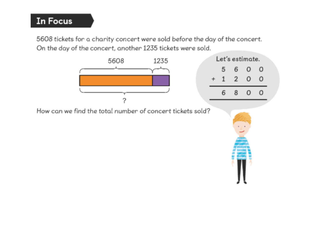### **In Focus**

5608 tickets for a charity concert were sold before the day of the concert. On the day of the concert, another 1235 tickets were sold.





How can we find the total number of concert tickets sold?

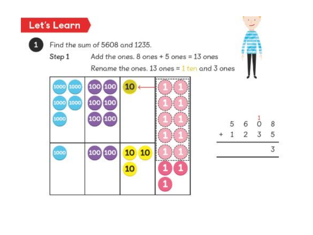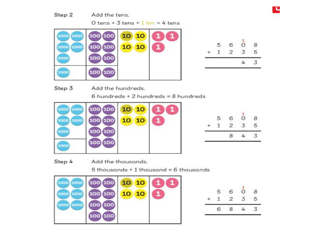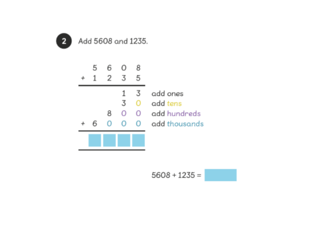



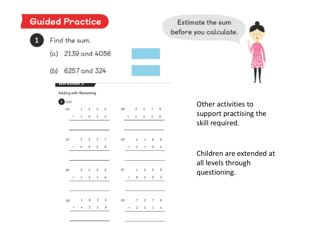| Guided Practice |                   |              |                                      |   |                     |              |   |  |     |                   |                |                |   |   |  |
|-----------------|-------------------|--------------|--------------------------------------|---|---------------------|--------------|---|--|-----|-------------------|----------------|----------------|---|---|--|
| 1               | Find the sum.     |              |                                      |   |                     |              |   |  |     |                   |                |                |   |   |  |
|                 | (a) 2139 and 4056 |              |                                      |   |                     |              |   |  |     |                   |                |                |   |   |  |
|                 | (b)               | 6257 and 324 |                                      |   |                     |              |   |  |     |                   |                |                |   |   |  |
|                 |                   |              | vvorksneet ə<br>Adding with Renaming |   |                     |              |   |  |     |                   |                |                |   |   |  |
|                 |                   | $1$ Add.     |                                      |   |                     |              |   |  |     |                   |                |                |   |   |  |
|                 |                   | $(\alpha)$   |                                      |   | $1 \quad 3 \quad 2$ |              | 5 |  | (b) |                   | 2              | 4              | 7 | 6 |  |
|                 |                   |              | $^{+}$                               | 1 | 6                   | 3            | 5 |  |     | $\ddot{}$         | 1              | 4              | 1 | 5 |  |
|                 |                   |              |                                      |   |                     |              |   |  |     |                   |                |                |   |   |  |
|                 |                   | (c)          |                                      | 3 | 2                   | 3            | 7 |  | (d) |                   | 4              | $\mathbf{1}$   | 6 | 9 |  |
|                 |                   |              | $\! + \!\!\!\!$                      | 4 | 5                   | 2            | 8 |  |     | $\! + \!\!\!\!$   | $\overline{2}$ | 7              | 0 | 4 |  |
|                 |                   |              |                                      |   |                     |              |   |  |     |                   |                |                |   |   |  |
|                 |                   | (e)          |                                      | 3 | 4                   | 2            | 8 |  | (f) |                   | 1              | 2              | 3 | 9 |  |
|                 |                   |              | $^{+}$                               | 1 | 2                   | $\mathbf{1}$ | 8 |  |     | $\qquad \qquad +$ | 8              | $\overline{2}$ | 0 | 3 |  |
|                 |                   |              |                                      |   |                     |              |   |  |     |                   |                |                |   |   |  |
|                 |                   | (g)          |                                      | 1 | 6                   | 3            | 5 |  | (h) |                   | 7              | 2              | 7 | 6 |  |
|                 |                   |              | $\ddot{}$                            | 4 | 2                   | 3            | 9 |  |     | $^{+}$            | 2              | 3              | 1 | 4 |  |
|                 |                   |              |                                      |   |                     |              |   |  |     |                   |                |                |   |   |  |

Estimate the sum before you calculate.



Other activities to support practising the skill required.

Children are extended at all levels through questioning.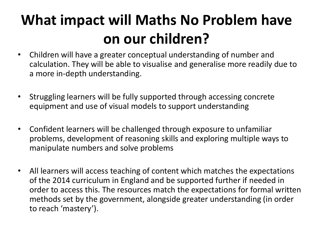## **What impact will Maths No Problem have on our children?**

- Children will have a greater conceptual understanding of number and calculation. They will be able to visualise and generalise more readily due to a more in-depth understanding.
- Struggling learners will be fully supported through accessing concrete equipment and use of visual models to support understanding
- Confident learners will be challenged through exposure to unfamiliar problems, development of reasoning skills and exploring multiple ways to manipulate numbers and solve problems
- All learners will access teaching of content which matches the expectations of the 2014 curriculum in England and be supported further if needed in order to access this. The resources match the expectations for formal written methods set by the government, alongside greater understanding (in order to reach 'mastery').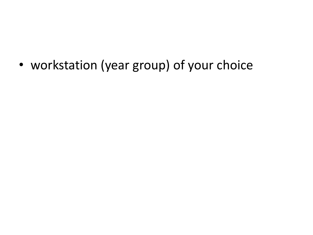• workstation (year group) of your choice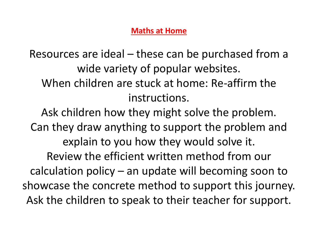#### **Maths at Home**

Resources are ideal – these can be purchased from a wide variety of popular websites. When children are stuck at home: Re-affirm the instructions.

Ask children how they might solve the problem. Can they draw anything to support the problem and explain to you how they would solve it. Review the efficient written method from our calculation policy – an update will becoming soon to showcase the concrete method to support this journey. Ask the children to speak to their teacher for support.